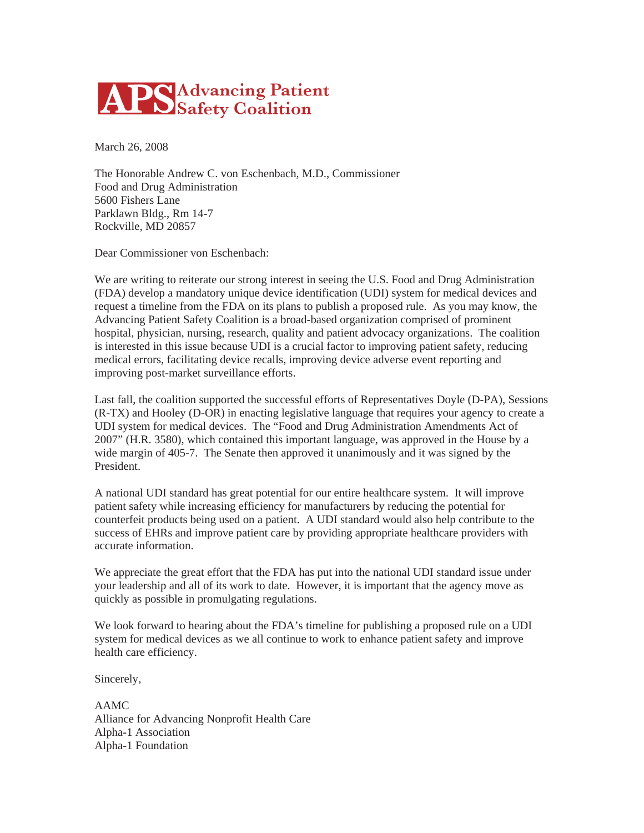

March 26, 2008

The Honorable Andrew C. von Eschenbach, M.D., Commissioner Food and Drug Administration 5600 Fishers Lane Parklawn Bldg., Rm 14-7 Rockville, MD 20857

Dear Commissioner von Eschenbach:

We are writing to reiterate our strong interest in seeing the U.S. Food and Drug Administration (FDA) develop a mandatory unique device identification (UDI) system for medical devices and request a timeline from the FDA on its plans to publish a proposed rule. As you may know, the Advancing Patient Safety Coalition is a broad-based organization comprised of prominent hospital, physician, nursing, research, quality and patient advocacy organizations. The coalition is interested in this issue because UDI is a crucial factor to improving patient safety, reducing medical errors, facilitating device recalls, improving device adverse event reporting and improving post-market surveillance efforts.

Last fall, the coalition supported the successful efforts of Representatives Doyle (D-PA), Sessions (R-TX) and Hooley (D-OR) in enacting legislative language that requires your agency to create a UDI system for medical devices. The "Food and Drug Administration Amendments Act of 2007" (H.R. 3580), which contained this important language, was approved in the House by a wide margin of 405-7. The Senate then approved it unanimously and it was signed by the President.

A national UDI standard has great potential for our entire healthcare system. It will improve patient safety while increasing efficiency for manufacturers by reducing the potential for counterfeit products being used on a patient. A UDI standard would also help contribute to the success of EHRs and improve patient care by providing appropriate healthcare providers with accurate information.

We appreciate the great effort that the FDA has put into the national UDI standard issue under your leadership and all of its work to date. However, it is important that the agency move as quickly as possible in promulgating regulations.

We look forward to hearing about the FDA's timeline for publishing a proposed rule on a UDI system for medical devices as we all continue to work to enhance patient safety and improve health care efficiency.

Sincerely,

AAMC Alliance for Advancing Nonprofit Health Care Alpha-1 Association Alpha-1 Foundation